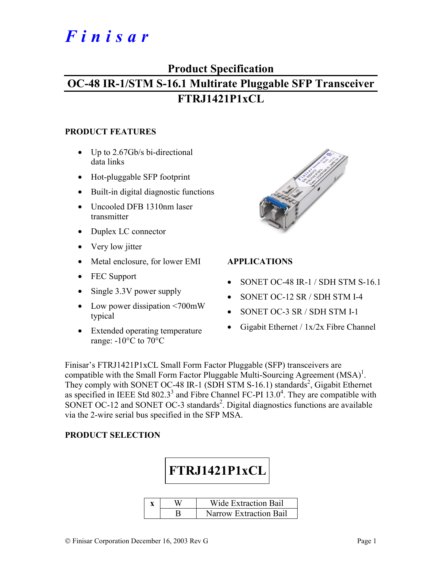# *Finisar*

## **Product Specification OC-48 IR-1/STM S-16.1 Multirate Pluggable SFP Transceiver FTRJ1421P1xCL**

#### **PRODUCT FEATURES**

- Up to 2.67Gb/s bi-directional data links
- Hot-pluggable SFP footprint
- Built-in digital diagnostic functions
- Uncooled DFB 1310nm laser transmitter
- Duplex LC connector
- Very low jitter
- Metal enclosure, for lower EMI
- FEC Support
- Single 3.3V power supply
- Low power dissipation <700mW typical
- Extended operating temperature range:  $-10^{\circ}$ C to  $70^{\circ}$ C



#### **APPLICATIONS**

- SONET OC-48 IR-1 / SDH STM S-16.1
- SONET OC-12 SR / SDH STM I-4
- SONET OC-3 SR / SDH STM I-1
- Gigabit Ethernet / 1x/2x Fibre Channel

Finisar's FTRJ1421P1xCL Small Form Factor Pluggable (SFP) transceivers are compatible with the Small Form Factor Pluggable Multi-Sourcing Agreement  $(MSA)^{1}$ . They comply with SONET OC-48 IR-1 (SDH STM S-16.1) standards<sup>2</sup>, Gigabit Ethernet as specified in IEEE Std 802.3<sup>3</sup> and Fibre Channel FC-PI  $13.0<sup>4</sup>$ . They are compatible with SONET OC-12 and SONET OC-3 standards<sup>2</sup>. Digital diagnostics functions are available via the 2-wire serial bus specified in the SFP MSA.

#### **PRODUCT SELECTION**



| ₩ | Wide Extraction Bail          |
|---|-------------------------------|
|   | <b>Narrow Extraction Bail</b> |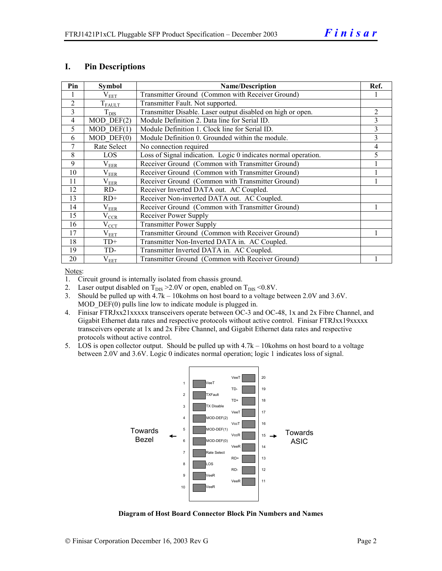#### **I. Pin Descriptions**

| Pin            | <b>Symbol</b>     | <b>Name/Description</b>                                        |                |  |  |
|----------------|-------------------|----------------------------------------------------------------|----------------|--|--|
|                | $\rm V_{EET}$     | Transmitter Ground (Common with Receiver Ground)               |                |  |  |
| $\overline{2}$ | $T_{FAULT}$       | Transmitter Fault. Not supported.                              |                |  |  |
| $\overline{3}$ | $T_{\text{DIS}}$  | Transmitter Disable. Laser output disabled on high or open.    | $\overline{2}$ |  |  |
| $\overline{4}$ | $MOD$ DEF $(2)$   | Module Definition 2. Data line for Serial ID.                  | 3              |  |  |
| 5              | $MOD$ DEF $(1)$   | Module Definition 1. Clock line for Serial ID.                 | 3              |  |  |
| 6              | $MOD$ $DEF(0)$    | Module Definition 0. Grounded within the module.               | 3              |  |  |
| 7              | Rate Select       | No connection required                                         | 4              |  |  |
| 8              | LOS               | Loss of Signal indication. Logic 0 indicates normal operation. | 5              |  |  |
| 9              | $\rm V_{EER}$     | Receiver Ground (Common with Transmitter Ground)               |                |  |  |
| 10             | $\rm V_{EER}$     | Receiver Ground (Common with Transmitter Ground)               |                |  |  |
| 11             | $\rm V_{EER}$     | Receiver Ground (Common with Transmitter Ground)               |                |  |  |
| 12             | RD-               | Receiver Inverted DATA out. AC Coupled.                        |                |  |  |
| 13             | $RD+$             | Receiver Non-inverted DATA out. AC Coupled.                    |                |  |  |
| 14             | $\rm V_{EER}$     | Receiver Ground (Common with Transmitter Ground)               |                |  |  |
| 15             | $\rm V_{\rm CCR}$ | Receiver Power Supply                                          |                |  |  |
| 16             | $V_{\rm CCT}$     | <b>Transmitter Power Supply</b>                                |                |  |  |
| 17             | $\rm V_{EET}$     | Transmitter Ground (Common with Receiver Ground)               |                |  |  |
| 18             | $TD+$             | Transmitter Non-Inverted DATA in. AC Coupled.                  |                |  |  |
| 19             | TD-               | Transmitter Inverted DATA in. AC Coupled.                      |                |  |  |
| 20             | $\rm V_{EET}$     | Transmitter Ground (Common with Receiver Ground)               |                |  |  |

Notes:

1. Circuit ground is internally isolated from chassis ground.

2. Laser output disabled on  $T_{DIS} > 2.0V$  or open, enabled on  $T_{DIS} < 0.8V$ .

3. Should be pulled up with 4.7k – 10kohms on host board to a voltage between 2.0V and 3.6V. MOD DEF(0) pulls line low to indicate module is plugged in.

- 4. Finisar FTRJxx21xxxxx transceivers operate between OC-3 and OC-48, 1x and 2x Fibre Channel, and Gigabit Ethernet data rates and respective protocols without active control. Finisar FTRJxx19xxxxx transceivers operate at 1x and 2x Fibre Channel, and Gigabit Ethernet data rates and respective protocols without active control.
- 5. LOS is open collector output. Should be pulled up with 4.7k 10kohms on host board to a voltage between 2.0V and 3.6V. Logic 0 indicates normal operation; logic 1 indicates loss of signal.



**Diagram of Host Board Connector Block Pin Numbers and Names**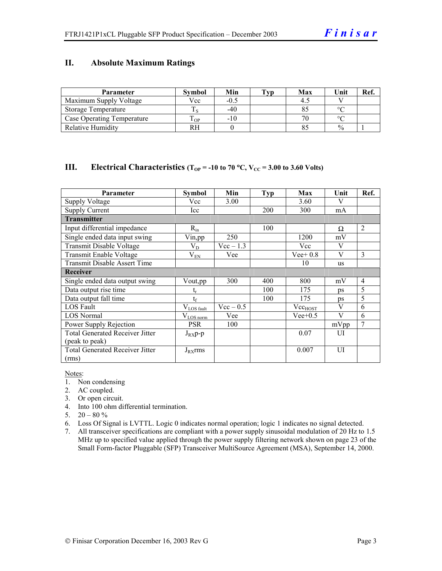#### **II. Absolute Maximum Ratings**

| <b>Parameter</b>                  | <b>Symbol</b> | Min    | Tvp | Max | Unit          | Ref. |
|-----------------------------------|---------------|--------|-----|-----|---------------|------|
| Maximum Supply Voltage            | Vcc           | $-0.5$ |     |     |               |      |
| Storage Temperature               |               | $-40$  |     |     | $\circ$       |      |
| <b>Case Operating Temperature</b> | m<br>OP.      | $-10$  |     | 70  | $\sim$        |      |
| <b>Relative Humidity</b>          | RH            |        |     |     | $\frac{0}{0}$ |      |

#### **III.** Electrical Characteristics ( $T_{OP}$  = -10 to 70 °C,  $V_{CC}$  = 3.00 to 3.60 Volts)

| Parameter                              | Symbol                 | Min         | Typ | Max                 | Unit      | Ref.           |
|----------------------------------------|------------------------|-------------|-----|---------------------|-----------|----------------|
| <b>Supply Voltage</b>                  | Vcc                    | 3.00        |     | 3.60                | V         |                |
| <b>Supply Current</b>                  | Icc                    |             | 200 | 300                 | mA        |                |
| <b>Transmitter</b>                     |                        |             |     |                     |           |                |
| Input differential impedance           | $R_{in}$               |             | 100 |                     | Ω         | 2              |
| Single ended data input swing          | Vin, pp                | 250         |     | 1200                | mV        |                |
| Transmit Disable Voltage               | $V_D$                  | $Vec-1.3$   |     | Vcc                 | V         |                |
| Transmit Enable Voltage                | $V_{EN}$               | Vee         |     | $Vee+0.8$           | V         | 3              |
| <b>Transmit Disable Assert Time</b>    |                        |             |     | 10                  | <b>us</b> |                |
| <b>Receiver</b>                        |                        |             |     |                     |           |                |
| Single ended data output swing         | Vout,pp                | 300         | 400 | 800                 | mV        | $\overline{4}$ |
| Data output rise time                  |                        |             | 100 | 175                 | ps        | 5              |
| Data output fall time                  | $t_{\rm f}$            |             | 100 | 175                 | ps        | 5              |
| LOS Fault                              | $V_{\text{LOS fault}}$ | $Vec - 0.5$ |     | Vec <sub>HOST</sub> | V         | 6              |
| <b>LOS Normal</b>                      | $V_{LOS\,norm}$        | Vee         |     | $Vee+0.5$           | V         | 6              |
| Power Supply Rejection                 | <b>PSR</b>             | 100         |     |                     | mVpp      |                |
| <b>Total Generated Receiver Jitter</b> | $J_{RX}p-p$            |             |     | 0.07                | UI        |                |
| (peak to peak)                         |                        |             |     |                     |           |                |
| <b>Total Generated Receiver Jitter</b> | $J_{RX}$ rms           |             |     | 0.007               | UI        |                |
| (rms)                                  |                        |             |     |                     |           |                |

Notes:

- 1. Non condensing
- 2. AC coupled.
- 3. Or open circuit.
- 4. Into 100 ohm differential termination.
- 5.  $20 80 \%$
- 6. Loss Of Signal is LVTTL. Logic 0 indicates normal operation; logic 1 indicates no signal detected.
- 7. All transceiver specifications are compliant with a power supply sinusoidal modulation of 20 Hz to 1.5 MHz up to specified value applied through the power supply filtering network shown on page 23 of the Small Form-factor Pluggable (SFP) Transceiver MultiSource Agreement (MSA), September 14, 2000.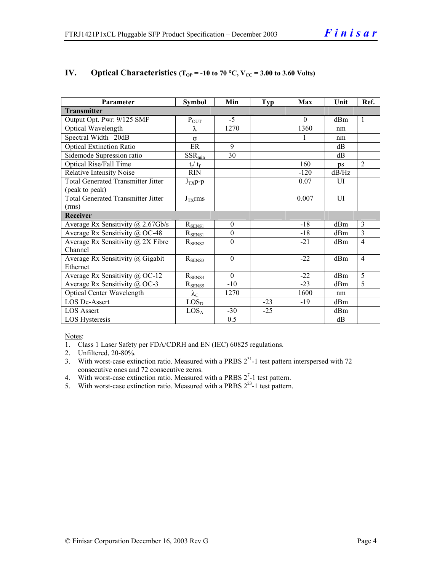| Parameter                                 | <b>Symbol</b>     | Min              | <b>Typ</b> | Max      | Unit  | Ref.           |
|-------------------------------------------|-------------------|------------------|------------|----------|-------|----------------|
| <b>Transmitter</b>                        |                   |                  |            |          |       |                |
| Output Opt. Pwr: 9/125 SMF                | $P_{OUT}$         | $-5$             |            | $\theta$ | dBm   | $\mathbf{1}$   |
| Optical Wavelength                        | λ                 | 1270             |            | 1360     | nm    |                |
| Spectral Width-20dB                       | $\sigma$          |                  |            |          | nm    |                |
| <b>Optical Extinction Ratio</b>           | ER                | 9                |            |          | dB    |                |
| Sidemode Supression ratio                 | $SSR_{min}$       | 30               |            |          | dB    |                |
| <b>Optical Rise/Fall Time</b>             | $t_r / t_f$       |                  |            | 160      | ps    | $\overline{2}$ |
| <b>Relative Intensity Noise</b>           | <b>RIN</b>        |                  |            | $-120$   | dB/Hz |                |
| <b>Total Generated Transmitter Jitter</b> | $J_{TX}p-p$       |                  |            | 0.07     | UI    |                |
| (peak to peak)                            |                   |                  |            |          |       |                |
| <b>Total Generated Transmitter Jitter</b> | $J_{TX}$ rms      |                  |            | 0.007    | UI    |                |
| (rms)                                     |                   |                  |            |          |       |                |
| <b>Receiver</b>                           |                   |                  |            |          |       |                |
| Average Rx Sensitivity @ 2.67Gb/s         | $R_{SENS1}$       | $\theta$         |            | $-18$    | dBm   | 3              |
| Average Rx Sensitivity @ OC-48            | $R_{SENS1}$       | $\boldsymbol{0}$ |            | $-18$    | dBm   | 3              |
| Average Rx Sensitivity $\omega$ 2X Fibre  | $R_{\rm SENS2}$   | $\theta$         |            | $-21$    | dBm   | $\overline{4}$ |
| Channel                                   |                   |                  |            |          |       |                |
| Average Rx Sensitivity $\omega$ Gigabit   | $R_{\rm SENS3}$   | $\theta$         |            | $-22$    | dBm   | $\overline{4}$ |
| Ethernet                                  |                   |                  |            |          |       |                |
| Average Rx Sensitivity @ OC-12            | $R_{SENS4}$       | $\Omega$         |            | $-22$    | dBm   | 5              |
| Average Rx Sensitivity @ OC-3             | $R_{SENS5}$       | $-10$            |            | $-23$    | dBm   | 5              |
| Optical Center Wavelength                 | $\lambda_{\rm C}$ | 1270             |            | 1600     | nm    |                |
| <b>LOS De-Assert</b>                      | LOS <sub>D</sub>  |                  | $-23$      | $-19$    | dBm   |                |
| <b>LOS Assert</b>                         | LOS <sub>A</sub>  | $-30$            | $-25$      |          | dBm   |                |
| LOS Hysteresis                            |                   | 0.5              |            |          | dB    |                |

#### **IV.** Optical Characteristics ( $T_{OP}$  = -10 to 70 °C,  $V_{CC}$  = 3.00 to 3.60 Volts)

Notes:

1. Class 1 Laser Safety per FDA/CDRH and EN (IEC) 60825 regulations.

2. Unfiltered, 20-80%.

- 3. With worst-case extinction ratio. Measured with a PRBS  $2^{31}$ -1 test pattern interspersed with 72 consecutive ones and 72 consecutive zeros.
- 4. With worst-case extinction ratio. Measured with a PRBS  $2^7$ -1 test pattern.
- 5. With worst-case extinction ratio. Measured with a PRBS  $2^{23}$ -1 test pattern.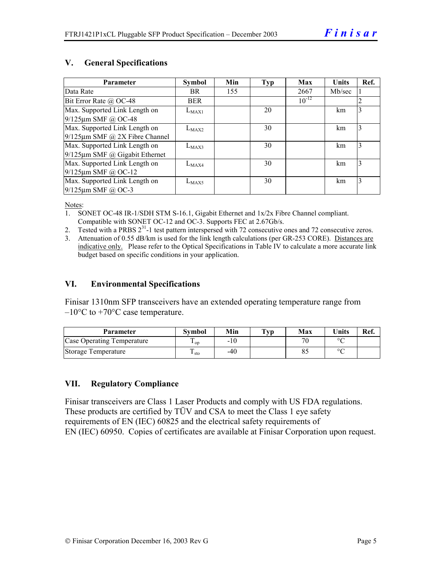#### **V. General Specifications**

| Parameter                            | <b>Symbol</b> | Min | Typ | Max        | <b>Units</b> | Ref. |
|--------------------------------------|---------------|-----|-----|------------|--------------|------|
| Data Rate                            | BR.           | 155 |     | 2667       | Mb/sec       |      |
| Bit Error Rate @ OC-48               | <b>BER</b>    |     |     | $10^{-12}$ |              | 2    |
| Max. Supported Link Length on        | $L_{MAX1}$    |     | 20  |            | km           | 3    |
| 9/125µm SMF @ OC-48                  |               |     |     |            |              |      |
| Max. Supported Link Length on        | $L_{MAX2}$    |     | 30  |            | km           | 3    |
| $9/125 \mu m$ SMF @ 2X Fibre Channel |               |     |     |            |              |      |
| Max. Supported Link Length on        | $L_{MAX3}$    |     | 30  |            | km           | 3    |
| $9/125 \mu m$ SMF @ Gigabit Ethernet |               |     |     |            |              |      |
| Max. Supported Link Length on        | $L_{MAX4}$    |     | 30  |            | km           | 3    |
| $9/125 \mu m$ SMF @ OC-12            |               |     |     |            |              |      |
| Max. Supported Link Length on        | $L_{MAX5}$    |     | 30  |            | km           | 3    |
| $9/125$ µm SMF @ OC-3                |               |     |     |            |              |      |

Notes:

- 1. SONET OC-48 IR-1/SDH STM S-16.1, Gigabit Ethernet and 1x/2x Fibre Channel compliant. Compatible with SONET OC-12 and OC-3. Supports FEC at 2.67Gb/s.
- 2. Tested with a PRBS  $2^{31}$ -1 test pattern interspersed with 72 consecutive ones and 72 consecutive zeros.
- 3. Attenuation of 0.55 dB/km is used for the link length calculations (per GR-253 CORE). Distances are indicative only. Please refer to the Optical Specifications in Table IV to calculate a more accurate link budget based on specific conditions in your application.

#### **VI. Environmental Specifications**

Finisar 1310nm SFP transceivers have an extended operating temperature range from  $-10\degree$ C to  $+70\degree$ C case temperature.

| Parameter                  | Svmbol     | Min   | $\mathbf{T}_{\mathbf{V}\mathbf{p}}$ | Max                      | <b>Units</b> | Ref. |
|----------------------------|------------|-------|-------------------------------------|--------------------------|--------------|------|
| Case Operating Temperature | $\cdot$ op | $-10$ |                                     | $\overline{\phantom{a}}$ | $\circ$      |      |
| Storage Temperature        | · sto      | -40   |                                     |                          | $\sim$       |      |

#### **VII. Regulatory Compliance**

Finisar transceivers are Class 1 Laser Products and comply with US FDA regulations. These products are certified by TÜV and CSA to meet the Class 1 eye safety requirements of EN (IEC) 60825 and the electrical safety requirements of EN (IEC) 60950. Copies of certificates are available at Finisar Corporation upon request.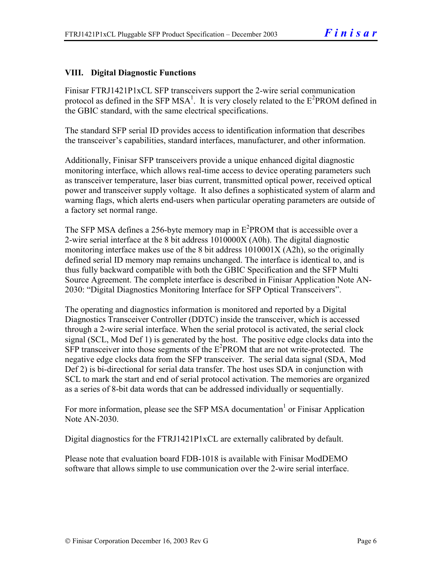#### **VIII. Digital Diagnostic Functions**

Finisar FTRJ1421P1xCL SFP transceivers support the 2-wire serial communication protocol as defined in the SFP MSA<sup>1</sup>. It is very closely related to the  $E^2$ PROM defined in the GBIC standard, with the same electrical specifications.

The standard SFP serial ID provides access to identification information that describes the transceiver's capabilities, standard interfaces, manufacturer, and other information.

Additionally, Finisar SFP transceivers provide a unique enhanced digital diagnostic monitoring interface, which allows real-time access to device operating parameters such as transceiver temperature, laser bias current, transmitted optical power, received optical power and transceiver supply voltage. It also defines a sophisticated system of alarm and warning flags, which alerts end-users when particular operating parameters are outside of a factory set normal range.

The SFP MSA defines a 256-byte memory map in  $E^2$ PROM that is accessible over a 2-wire serial interface at the 8 bit address 1010000X (A0h). The digital diagnostic monitoring interface makes use of the 8 bit address 1010001X (A2h), so the originally defined serial ID memory map remains unchanged. The interface is identical to, and is thus fully backward compatible with both the GBIC Specification and the SFP Multi Source Agreement. The complete interface is described in Finisar Application Note AN-2030: "Digital Diagnostics Monitoring Interface for SFP Optical Transceivers".

The operating and diagnostics information is monitored and reported by a Digital Diagnostics Transceiver Controller (DDTC) inside the transceiver, which is accessed through a 2-wire serial interface. When the serial protocol is activated, the serial clock signal (SCL, Mod Def 1) is generated by the host. The positive edge clocks data into the  $SFP$  transceiver into those segments of the  $E^2$ PROM that are not write-protected. The negative edge clocks data from the SFP transceiver. The serial data signal (SDA, Mod Def 2) is bi-directional for serial data transfer. The host uses SDA in conjunction with SCL to mark the start and end of serial protocol activation. The memories are organized as a series of 8-bit data words that can be addressed individually or sequentially.

For more information, please see the SFP MSA documentation<sup>1</sup> or Finisar Application Note AN-2030.

Digital diagnostics for the FTRJ1421P1xCL are externally calibrated by default.

Please note that evaluation board FDB-1018 is available with Finisar ModDEMO software that allows simple to use communication over the 2-wire serial interface.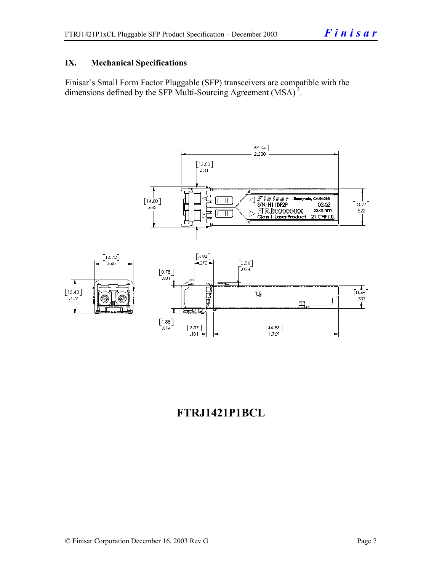#### **IX. Mechanical Specifications**

Finisar's Small Form Factor Pluggable (SFP) transceivers are compatible with the dimensions defined by the SFP Multi-Sourcing Agreement (MSA)<sup>3</sup>.



### **FTRJ1421P1BCL**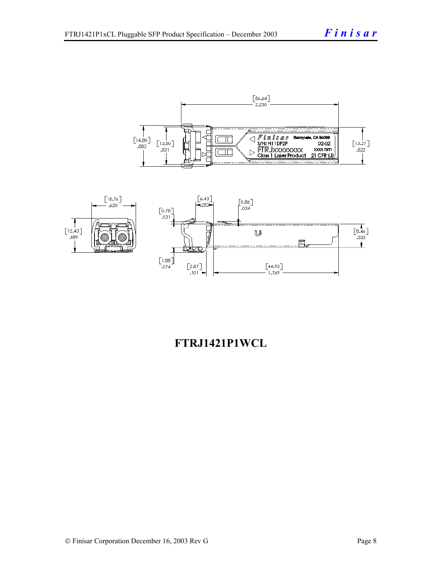



## **FTRJ1421P1WCL**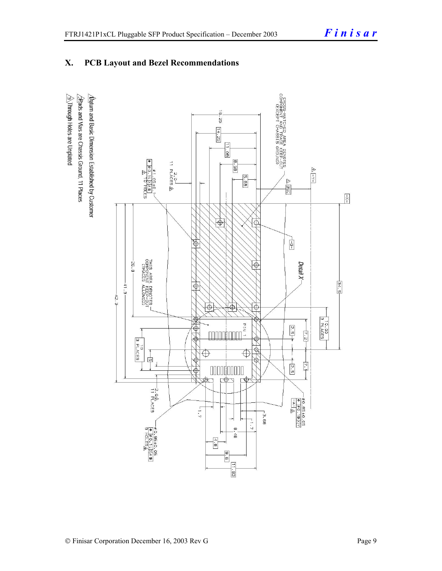### **X. PCB Layout and Bezel Recommendations**

 $\hat{\triangle}$ Through Holes are Unplated  $\Delta$ atum and Basic Dimension Established by Customer  $\triangle$ Rads and Vias are Chassis Ground, 11 Places

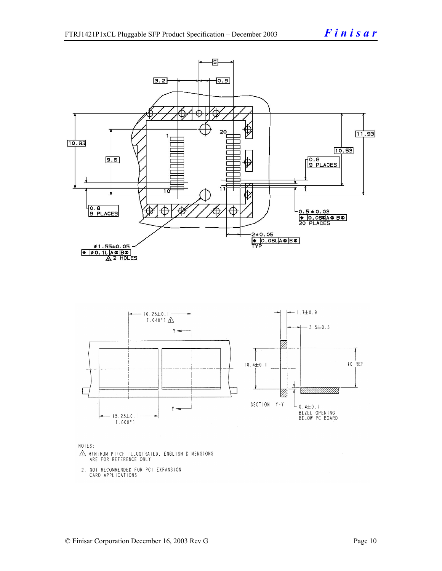

NOTES:

- $\triangle$  MINIMUM PITCH ILLUSTRATED, ENGLISH DIMENSIONS ARE FOR REFERENCE ONLY
- 2. NOT RECOMMENDED FOR PCI EXPANSION CARD APPLICATIONS